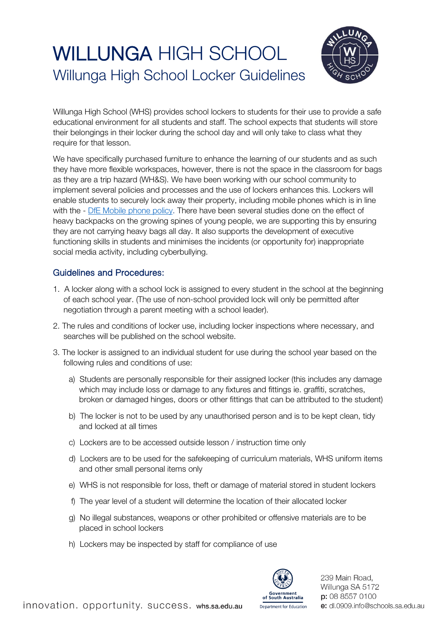## WILLUNGA HIGH SCHOOL Willunga High School Locker Guidelines



Willunga High School (WHS) provides school lockers to students for their use to provide a safe educational environment for all students and staff. The school expects that students will store their belongings in their locker during the school day and will only take to class what they require for that lesson.

We have specifically purchased furniture to enhance the learning of our students and as such they have more flexible workspaces, however, there is not the space in the classroom for bags as they are a trip hazard (WH&S). We have been working with our school community to implement several policies and processes and the use of lockers enhances this. Lockers will enable students to securely lock away their property, including mobile phones which is in line with the - [DfE Mobile phone policy.](https://www.whs.sa.edu.au/wp-content/uploads/2021/09/mobile-phone-policy-2021.pdf) There have been several studies done on the effect of heavy backpacks on the growing spines of young people, we are supporting this by ensuring they are not carrying heavy bags all day. It also supports the development of executive functioning skills in students and minimises the incidents (or opportunity for) inappropriate social media activity, including cyberbullying.

## Guidelines and Procedures:

- 1. A locker along with a school lock is assigned to every student in the school at the beginning of each school year. (The use of non-school provided lock will only be permitted after negotiation through a parent meeting with a school leader).
- 2. The rules and conditions of locker use, including locker inspections where necessary, and searches will be published on the school website.
- 3. The locker is assigned to an individual student for use during the school year based on the following rules and conditions of use:
	- a) Students are personally responsible for their assigned locker (this includes any damage which may include loss or damage to any fixtures and fittings ie. graffiti, scratches, broken or damaged hinges, doors or other fittings that can be attributed to the student)
	- b) The locker is not to be used by any unauthorised person and is to be kept clean, tidy and locked at all times
	- c) Lockers are to be accessed outside lesson / instruction time only
	- d) Lockers are to be used for the safekeeping of curriculum materials, WHS uniform items and other small personal items only
	- e) WHS is not responsible for loss, theft or damage of material stored in student lockers
	- f) The year level of a student will determine the location of their allocated locker
	- g) No illegal substances, weapons or other prohibited or offensive materials are to be placed in school lockers
	- h) Lockers may be inspected by staff for compliance of use